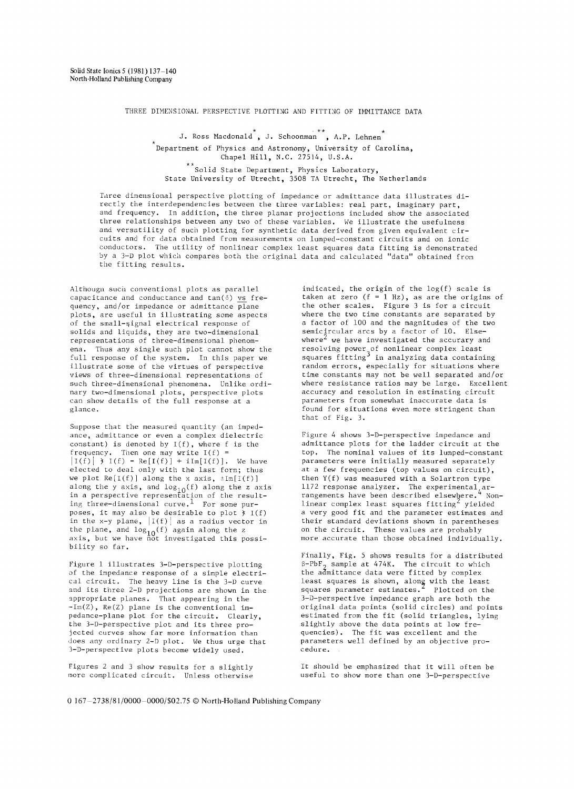THREE DIMENSIONAL PERSPECTIVE PLOTTING AND FITTING OF IMMITTANCE DATA

J. Ross Macdonald, J. Schoonman, A.P. Lehnen Department of Physics and Astronomy, University of Carolina, Chapel Hill, N.C. 27514, U.S.A. \*\* Solid State Department, Physics Laboratory, State University of Utrecht, 3508 TA Utrecht, The Netherlands

Turee dimensional perspective plotting of impedance or admittance data illustrates directly the interdependencies between the three variables: real part, imaginary part, and frequency. In addition, the three planar projections included show the associated three relationships between any two of these variables. We illustrate the usefulness and versatility of such plotting for synthetic data derived from given equivalent circuits and for data obtained from measurements on lumped-constant circuits and on ionic conductors. The utility of nonlinear complex least squares data fitting is demonstrated by a 3-D plot which compares both the original data and calculated "data" obtained from the fitting results.

Althougn such conventional plots as parallel capacitance and conductance and  $tan(\delta)$  vs frequency, and/or impedance or admittance  $\overline{plane}$ plots, are useful in illustrating some aspects of the small-signal electrical response of solids and liquids, they are two-dimensional representations of three-dimensional phenomena. Thus any single such plot cannot show the full response of the system. In this paper we illustrate some of the virtues of perspective views of three-dimensional representations of such three-dimensional phenomena. Unlike ordinary two-dimensional plots, perspective plots can show details of the full response at a glance.

Suppose that the measured quantity (an impedance, admittance or even a complex dielectric constant) is denoted by  $I(f)$ , where  $f$  is the frequency. Then one may write  $I(f)$  =  $|I(f)| \rightarrow I(f) = \text{Re}[I(f)] + i\text{Im}[I(f)],$  We have elected to deal only with the last form; thus we plot  $Re[I(f)]$  along the x axis,  $\pm Im[I(f)]$ along the y axis, and log<sub>1.0</sub>(f) along the z axis in a perspective representation of the resulting three-dimensional curve. 1 For some purposes, it may also be desirable to plot  $\dot{x}$  I(f) in the x-y plane,  $|I(f)|$  as a radius vector in the plane, and  $\log_{10}(f)$  again along the z axis, but we have not investigated this possibility so far.

Figure 1 illustrates 3-D-perspective plotting of the impedance response of a simple electrical circuit. The heavy line is the 3-D curve and its three 2-D projections are shown in the appropriate planes. That appearing in the -Im(Z), Re(Z) plane is the conventional impedance-plane plot for the circuit. Clearly, the 3-D-perspective plot and its three projected curves show far more information than does any ordinary 2-D plot. We thus urge that 3-D-perspective plots become widely used.

Figures 2 and 3 show results for a slightly more complicated circuit. Unless otherwise

indicated, the origin of the log(f) scale is taken at zero (f = 1 Hz), as are the origins of the other scales. Figure 3 is for a circuit where the two time constants are separated by a factor of i00 and the magnitudes of the two semicircular arcs by a factor of 10. Elsewhere<sup>2</sup> we have investigated the accurary and resolving power of nonlinear complex least squares fitting<sup>-</sup> in analyzing data containing random errors, especially for situations where time constants may not be well separated and/or where resistance ratios may be large. Excellent accuracy and resolution in estimating circuit parameters from somewhat inaccurate data is found for situations even more stringent than that of Fig. 3.

Figure 4 shows 3-D-perspective impedance and admittance plots for the ladder circuit at the top. The nominal values of its lumped-constant parameters were initially measured separately at a few frequencies (top values on circuit), then Y(f) was measured with a Solartron type 1172 response analyzer. The experimental,  $ar$ rangements have been described elsewhere.<sup>4</sup> Nonlinear complex least squares fitting<sup>2</sup> yielded a very good fit and the parameter estimates and their standard deviations shown in parentheses on the circuit. These values are probably more accurate than those obtained individually.

Finally, Fig. 5 shows results for a distributed  $\beta-\mathrm{PbF}_2$  sample at 474K. The circuit to which the admittance data were fitted by complex least squares is shown, along with the least squares parameter estimates." Plotted on the 3-D-perspective impedance graph are both the original data points (solid circles) and points estimated from the fit (solid triangles, lying slightly above the data points at low frequencies). The fit was excellent and the parameters well defined by an objective procedure.

It should be emphasized that it will often be useful to show more than one 3-D-perspective

0  $167 - 2738/81/0000 - 0000/502.75$  © North-Holland Publishing Company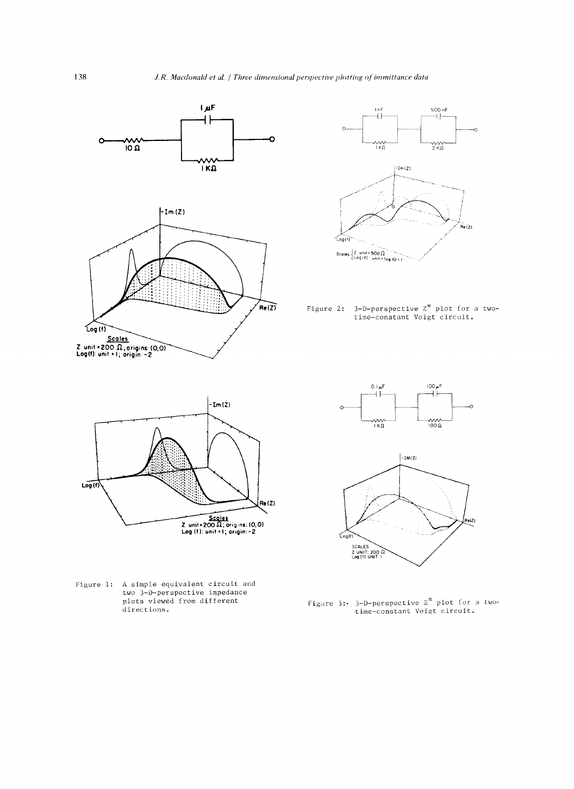



Figure 2: 3-D-perspective  $z^*$  plot for a two-<br>time-constant Voigt circuit.



Figure 1: A simple equivalent circuit and two 3-D-perspective impedance<br>plots viewed from different directions.





Figure 3: 3-D-perspective  $z^*$  plot for a two-<br>time-constant Voigt circuit.

138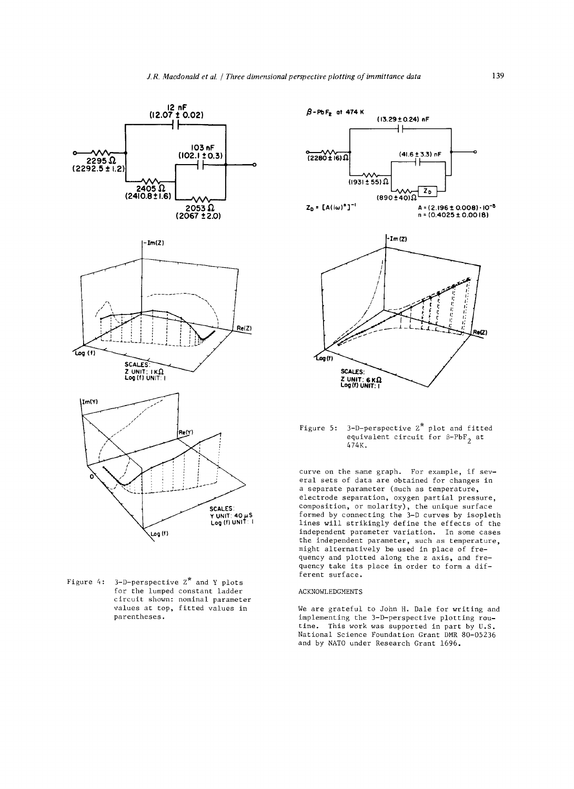

Figure 4:  $3-D$ -perspective  $2^*$  and Y plots for the lumped constant ladder circuit shown: nominal parameter values at top, fitted values in parentheses.



## Figure 5: 3-D-perspective Z\* plot and fitted equivalent circuit for  $\beta$ -PbF<sub>2</sub> at 474K.

curve on the same graph. For example, if several sets of data are obtained for changes in a separate parameter (such as temperature, electrode separation, oxygen partial pressure, Composition, or molarity), the unique surface formed by connecting the 3-D curves by isopleth lines will strikingly define the effects of the independent parameter variation. In some cases the independent parameter, such as temperature, might alternatively be used in place of frequency and plotted along the z axis, and frequency take its place in order to form a different surface.

## ACKNOWLEDGMENTS

We are grateful to John H. Dale for writing and implementing the 3-D-perspective plotting routine. This work was supported in part by U.S. National Science Foundation Grant DMR 80-05236 and by NATO under Research Grant 1696.